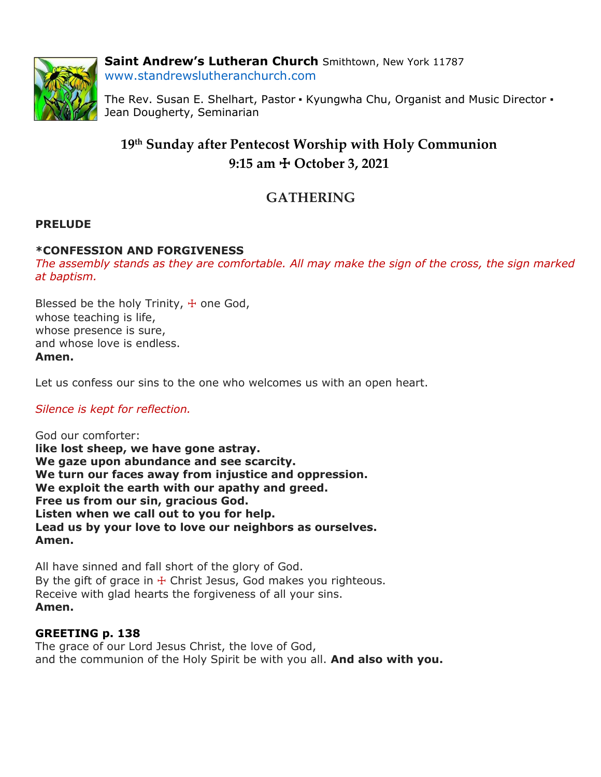

**Saint Andrew's Lutheran Church** Smithtown, New York 11787 www.standrewslutheranchurch.com

The Rev. Susan E. Shelhart, Pastor • Kyungwha Chu, Organist and Music Director • Jean Dougherty, Seminarian

# **19 th Sunday after Pentecost Worship with Holy Communion 9:15 am** ☩ **October 3, 2021**

# **GATHERING**

# **PRELUDE**

## **\*CONFESSION AND FORGIVENESS**

*The assembly stands as they are comfortable. All may make the sign of the cross, the sign marked at baptism.*

Blessed be the holy Trinity,  $+$  one God, whose teaching is life, whose presence is sure, and whose love is endless. **Amen.**

Let us confess our sins to the one who welcomes us with an open heart.

## *Silence is kept for reflection.*

God our comforter: **like lost sheep, we have gone astray. We gaze upon abundance and see scarcity. We turn our faces away from injustice and oppression. We exploit the earth with our apathy and greed. Free us from our sin, gracious God. Listen when we call out to you for help. Lead us by your love to love our neighbors as ourselves. Amen.**

All have sinned and fall short of the glory of God. By the gift of grace in  $\pm$  Christ Jesus, God makes you righteous. Receive with glad hearts the forgiveness of all your sins. **Amen.**

## **GREETING p. 138**

The grace of our Lord Jesus Christ, the love of God, and the communion of the Holy Spirit be with you all. **And also with you.**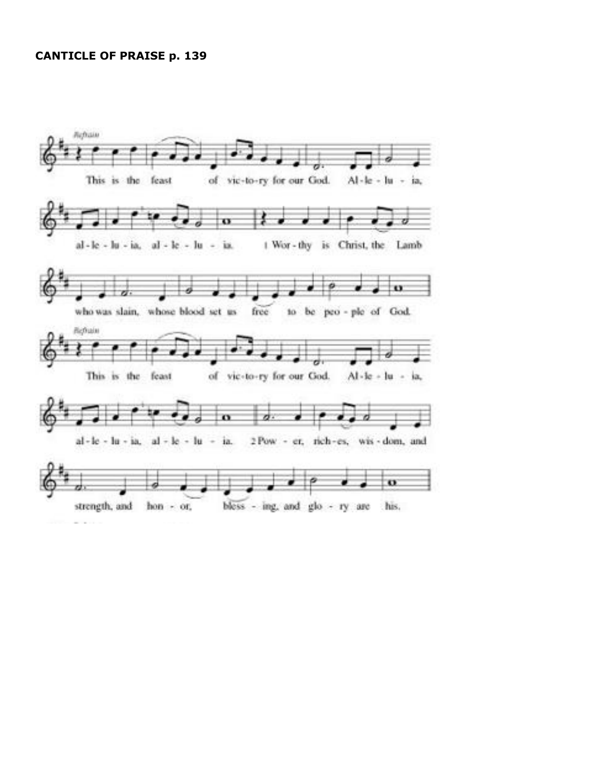### **CANTICLE OF PRAISE p. 139**

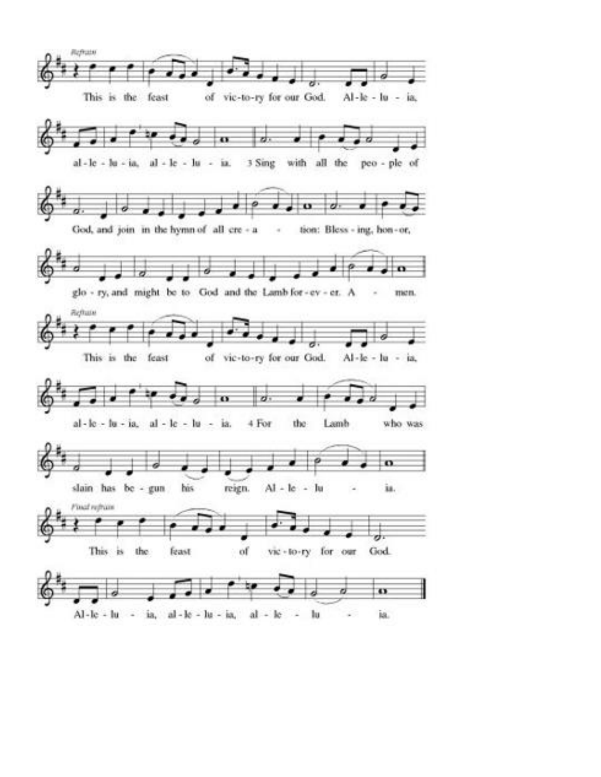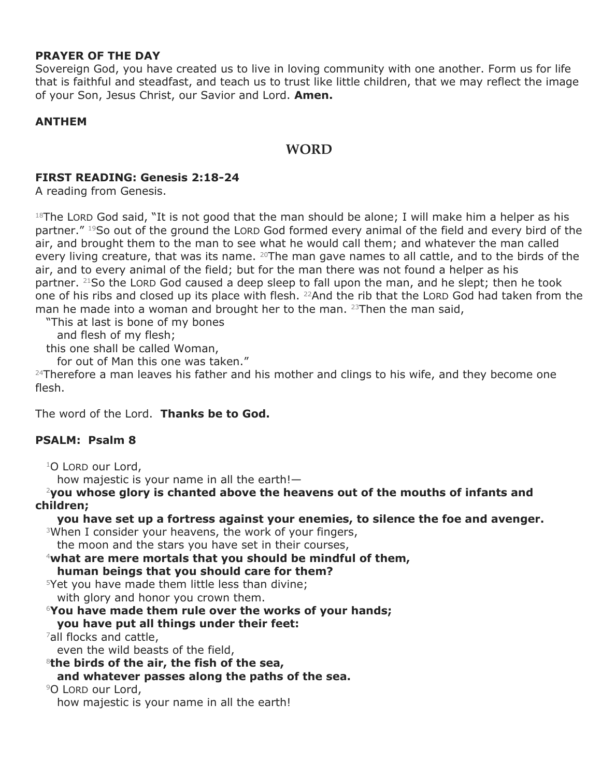## **PRAYER OF THE DAY**

Sovereign God, you have created us to live in loving community with one another. Form us for life that is faithful and steadfast, and teach us to trust like little children, that we may reflect the image of your Son, Jesus Christ, our Savior and Lord. **Amen.**

## **ANTHEM**

## **WORD**

## **FIRST READING: Genesis 2:18-24**

A reading from Genesis.

 $18$ The LORD God said, "It is not good that the man should be alone; I will make him a helper as his partner." 19So out of the ground the LORD God formed every animal of the field and every bird of the air, and brought them to the man to see what he would call them; and whatever the man called every living creature, that was its name. <sup>20</sup>The man gave names to all cattle, and to the birds of the air, and to every animal of the field; but for the man there was not found a helper as his partner. <sup>21</sup>So the LORD God caused a deep sleep to fall upon the man, and he slept; then he took one of his ribs and closed up its place with flesh. <sup>22</sup>And the rib that the LORD God had taken from the man he made into a woman and brought her to the man.  $^{23}$ Then the man said,

"This at last is bone of my bones

and flesh of my flesh;

this one shall be called Woman,

for out of Man this one was taken."

 $24$ Therefore a man leaves his father and his mother and clings to his wife, and they become one flesh.

The word of the Lord. **Thanks be to God.**

## **PSALM: Psalm 8**

<sup>1</sup>O LORD our Lord,

how majestic is your name in all the earth!—

<sup>2</sup>**you whose glory is chanted above the heavens out of the mouths of infants and children;**

**you have set up a fortress against your enemies, to silence the foe and avenger.**

<sup>3</sup>When I consider your heavens, the work of your fingers,

the moon and the stars you have set in their courses,

<sup>4</sup>**what are mere mortals that you should be mindful of them,**

**human beings that you should care for them?**

<sup>5</sup>Yet you have made them little less than divine;

with glory and honor you crown them.

<sup>6</sup>**You have made them rule over the works of your hands;**

#### **you have put all things under their feet:**

<sup>7</sup>all flocks and cattle,

even the wild beasts of the field,

<sup>8</sup>**the birds of the air, the fish of the sea, and whatever passes along the paths of the sea.**

<sup>9</sup>O LORD our Lord,

how majestic is your name in all the earth!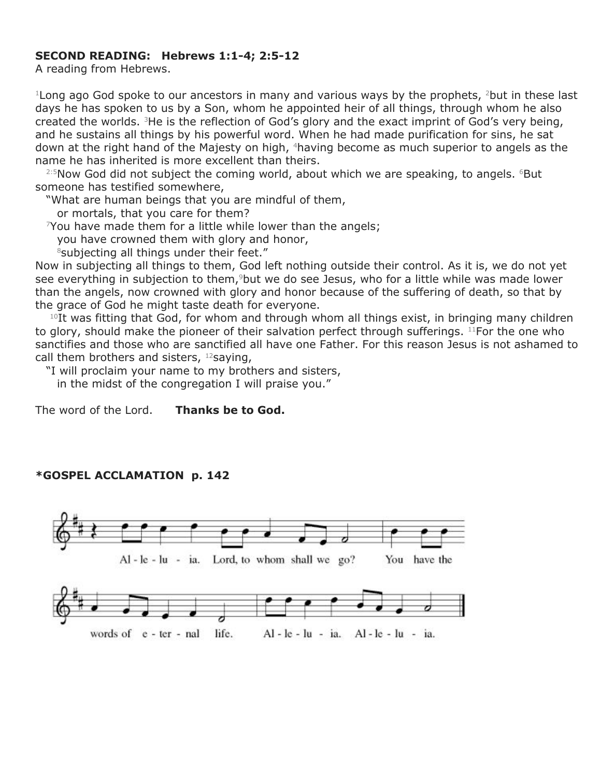## **SECOND READING: Hebrews 1:1-4; 2:5-12**

A reading from Hebrews.

<sup>1</sup> Long ago God spoke to our ancestors in many and various ways by the prophets, <sup>2</sup>but in these last days he has spoken to us by a Son, whom he appointed heir of all things, through whom he also created the worlds. <sup>3</sup>He is the reflection of God's glory and the exact imprint of God's very being, and he sustains all things by his powerful word. When he had made purification for sins, he sat down at the right hand of the Majesty on high, <sup>4</sup>having become as much superior to angels as the name he has inherited is more excellent than theirs.

<sup>2:5</sup>Now God did not subject the coming world, about which we are speaking, to angels. <sup>6</sup>But someone has testified somewhere,

"What are human beings that you are mindful of them,

or mortals, that you care for them?

 $\gamma$ You have made them for a little while lower than the angels;

you have crowned them with glory and honor,

 $8$ subjecting all things under their feet."

Now in subjecting all things to them, God left nothing outside their control. As it is, we do not yet see everything in subjection to them,<sup>9</sup>but we do see Jesus, who for a little while was made lower than the angels, now crowned with glory and honor because of the suffering of death, so that by the grace of God he might taste death for everyone.

 $10$ It was fitting that God, for whom and through whom all things exist, in bringing many children to glory, should make the pioneer of their salvation perfect through sufferings. <sup>11</sup>For the one who sanctifies and those who are sanctified all have one Father. For this reason Jesus is not ashamed to call them brothers and sisters,  $12$ saying,

"I will proclaim your name to my brothers and sisters, in the midst of the congregation I will praise you."

The word of the Lord. **Thanks be to God.**

## **\*GOSPEL ACCLAMATION p. 142**

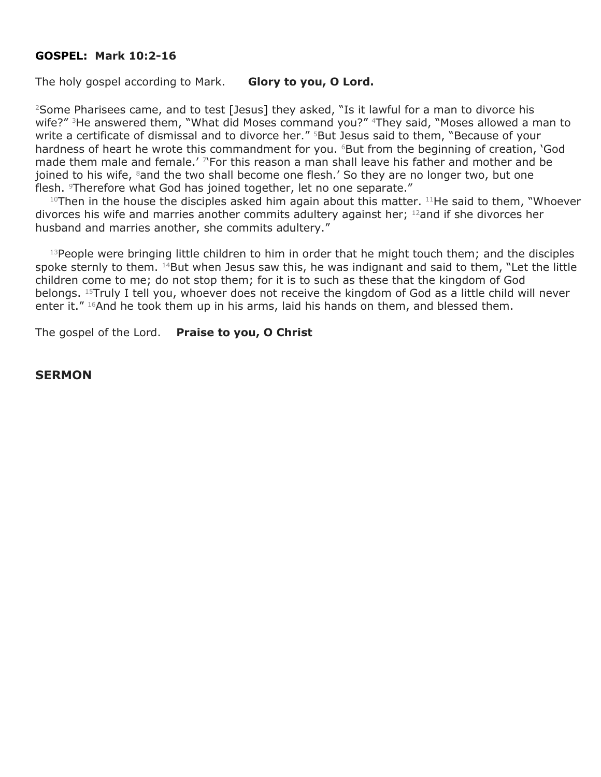#### **GOSPEL: Mark 10:2-16**

The holy gospel according to Mark. **Glory to you, O Lord.**

<sup>2</sup>Some Pharisees came, and to test [Jesus] they asked, "Is it lawful for a man to divorce his wife?" <sup>3</sup>He answered them, "What did Moses command you?" <sup>4</sup>They said, "Moses allowed a man to write a certificate of dismissal and to divorce her." <sup>5</sup>But Jesus said to them, "Because of your hardness of heart he wrote this commandment for you. <sup>6</sup>But from the beginning of creation, 'God made them male and female.' <sup>7</sup> For this reason a man shall leave his father and mother and be joined to his wife, 8and the two shall become one flesh.' So they are no longer two, but one flesh. <sup>9</sup>Therefore what God has joined together, let no one separate."

 $10$ Then in the house the disciples asked him again about this matter.  $11$ He said to them, "Whoever divorces his wife and marries another commits adultery against her; <sup>12</sup>and if she divorces her husband and marries another, she commits adultery."

<sup>13</sup> People were bringing little children to him in order that he might touch them; and the disciples spoke sternly to them. <sup>14</sup>But when Jesus saw this, he was indignant and said to them, "Let the little children come to me; do not stop them; for it is to such as these that the kingdom of God belongs. <sup>15</sup>Truly I tell you, whoever does not receive the kingdom of God as a little child will never enter it."  $16$ And he took them up in his arms, laid his hands on them, and blessed them.

The gospel of the Lord. **Praise to you, O Christ**

#### **SERMON**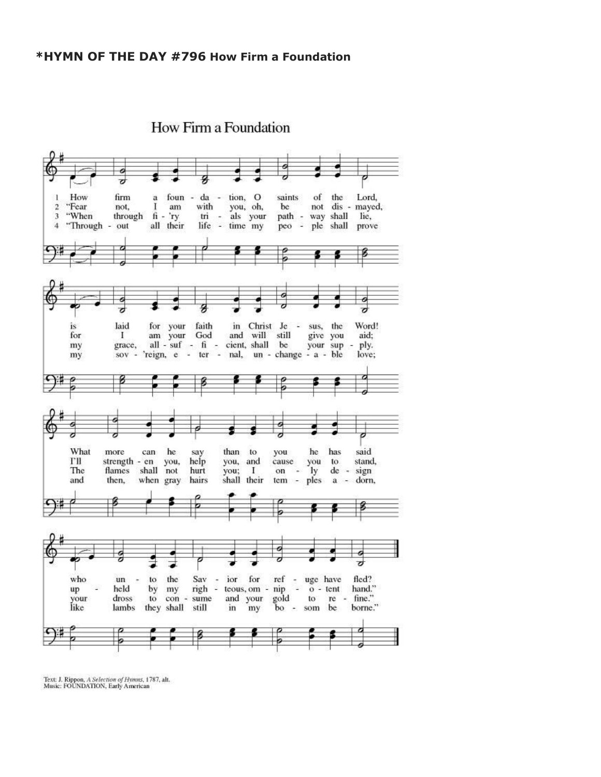

How Firm a Foundation

Text: J. Rippon, A Selection of Hymus, 1787, alt.<br>Music: FOUNDATION, Early American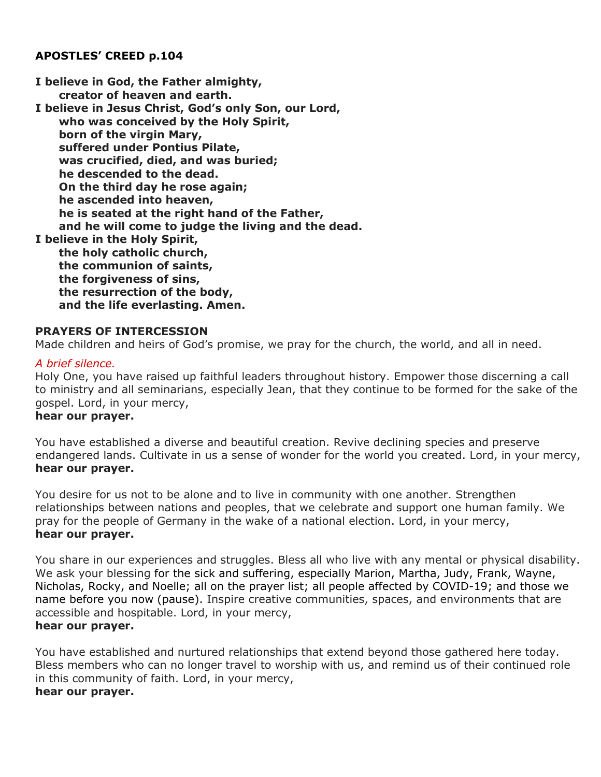## **APOSTLES' CREED p.104**

**I believe in God, the Father almighty, creator of heaven and earth. I believe in Jesus Christ, God's only Son, our Lord, who was conceived by the Holy Spirit, born of the virgin Mary, suffered under Pontius Pilate, was crucified, died, and was buried; he descended to the dead. On the third day he rose again; he ascended into heaven, he is seated at the right hand of the Father, and he will come to judge the living and the dead. I believe in the Holy Spirit, the holy catholic church, the communion of saints, the forgiveness of sins, the resurrection of the body, and the life everlasting. Amen.**

#### **PRAYERS OF INTERCESSION**

Made children and heirs of God's promise, we pray for the church, the world, and all in need.

#### *A brief silence.*

Holy One, you have raised up faithful leaders throughout history. Empower those discerning a call to ministry and all seminarians, especially Jean, that they continue to be formed for the sake of the gospel. Lord, in your mercy,

#### **hear our prayer.**

You have established a diverse and beautiful creation. Revive declining species and preserve endangered lands. Cultivate in us a sense of wonder for the world you created. Lord, in your mercy, **hear our prayer.**

You desire for us not to be alone and to live in community with one another. Strengthen relationships between nations and peoples, that we celebrate and support one human family. We pray for the people of Germany in the wake of a national election. Lord, in your mercy, **hear our prayer.**

You share in our experiences and struggles. Bless all who live with any mental or physical disability. We ask your blessing for the sick and suffering, especially Marion, Martha, Judy, Frank, Wayne, Nicholas, Rocky, and Noelle; all on the prayer list; all people affected by COVID-19; and those we name before you now (pause). Inspire creative communities, spaces, and environments that are accessible and hospitable. Lord, in your mercy,

## **hear our prayer.**

You have established and nurtured relationships that extend beyond those gathered here today. Bless members who can no longer travel to worship with us, and remind us of their continued role in this community of faith. Lord, in your mercy, **hear our prayer.**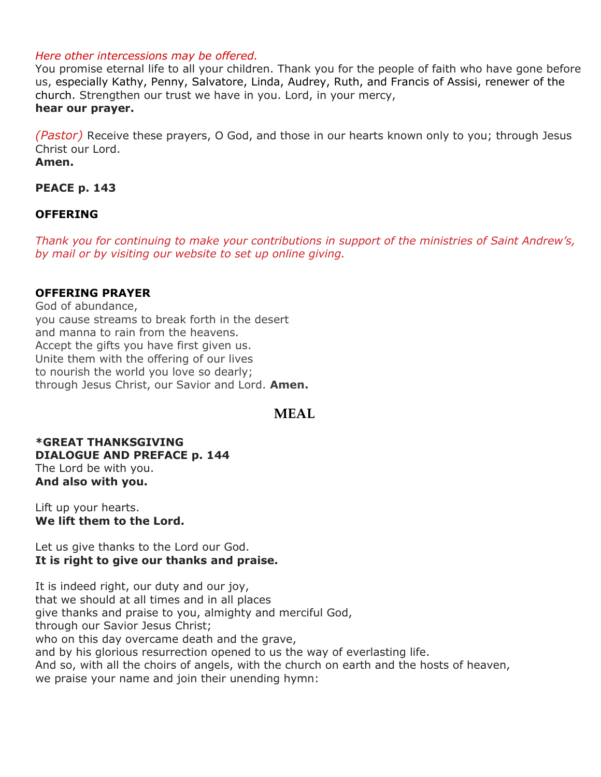#### *Here other intercessions may be offered.*

You promise eternal life to all your children. Thank you for the people of faith who have gone before us, especially Kathy, Penny, Salvatore, Linda, Audrey, Ruth, and Francis of Assisi, renewer of the church. Strengthen our trust we have in you. Lord, in your mercy, **hear our prayer.**

*(Pastor)* Receive these prayers, O God, and those in our hearts known only to you; through Jesus Christ our Lord. **Amen.**

# **PEACE p. 143**

## **OFFERING**

*Thank you for continuing to make your contributions in support of the ministries of Saint Andrew's, by mail or by visiting our website to set up online giving.*

## **OFFERING PRAYER**

God of abundance, you cause streams to break forth in the desert and manna to rain from the heavens. Accept the gifts you have first given us. Unite them with the offering of our lives to nourish the world you love so dearly; through Jesus Christ, our Savior and Lord. **Amen.**

# **MEAL**

**\*GREAT THANKSGIVING DIALOGUE AND PREFACE p. 144** The Lord be with you. **And also with you.**

Lift up your hearts. **We lift them to the Lord.**

Let us give thanks to the Lord our God. **It is right to give our thanks and praise.**

It is indeed right, our duty and our joy, that we should at all times and in all places give thanks and praise to you, almighty and merciful God, through our Savior Jesus Christ; who on this day overcame death and the grave, and by his glorious resurrection opened to us the way of everlasting life. And so, with all the choirs of angels, with the church on earth and the hosts of heaven, we praise your name and join their unending hymn: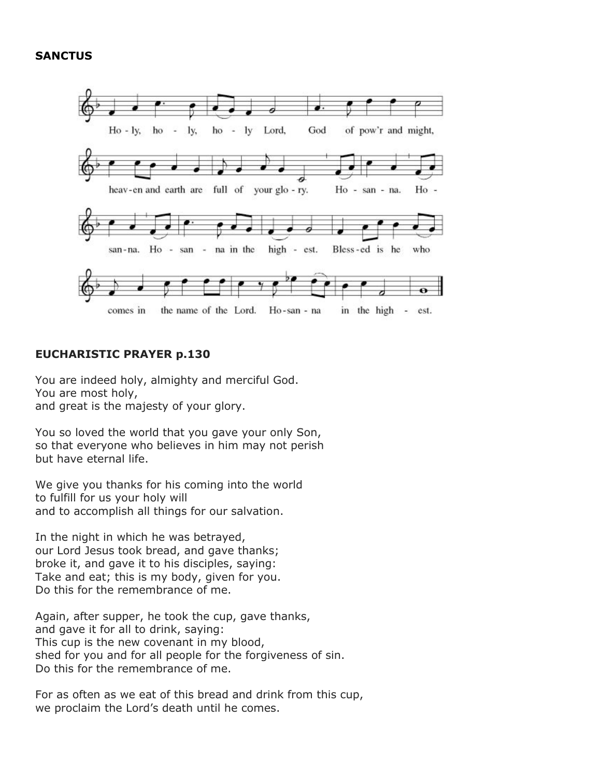#### **SANCTUS**



#### **EUCHARISTIC PRAYER p.130**

You are indeed holy, almighty and merciful God. You are most holy, and great is the majesty of your glory.

You so loved the world that you gave your only Son, so that everyone who believes in him may not perish but have eternal life.

We give you thanks for his coming into the world to fulfill for us your holy will and to accomplish all things for our salvation.

In the night in which he was betrayed, our Lord Jesus took bread, and gave thanks; broke it, and gave it to his disciples, saying: Take and eat; this is my body, given for you. Do this for the remembrance of me.

Again, after supper, he took the cup, gave thanks, and gave it for all to drink, saying: This cup is the new covenant in my blood, shed for you and for all people for the forgiveness of sin. Do this for the remembrance of me.

For as often as we eat of this bread and drink from this cup, we proclaim the Lord's death until he comes.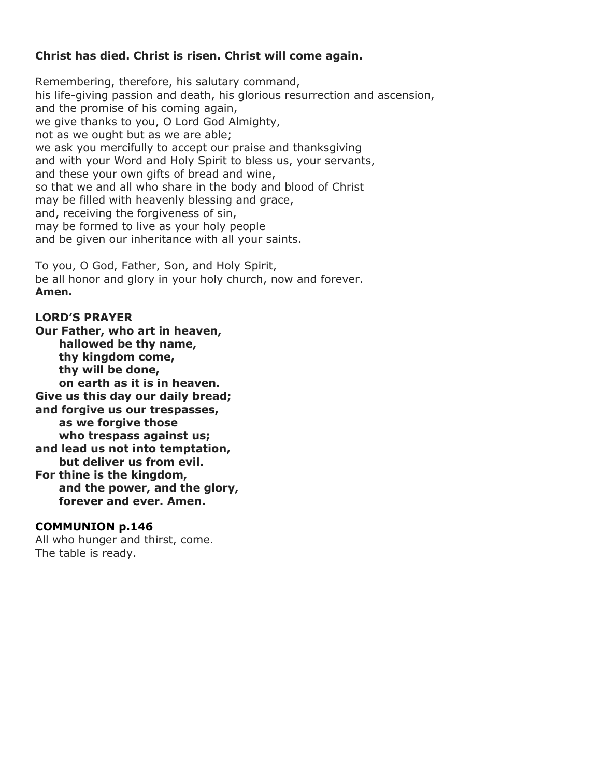## **Christ has died. Christ is risen. Christ will come again.**

Remembering, therefore, his salutary command, his life-giving passion and death, his glorious resurrection and ascension, and the promise of his coming again, we give thanks to you, O Lord God Almighty, not as we ought but as we are able; we ask you mercifully to accept our praise and thanksgiving and with your Word and Holy Spirit to bless us, your servants, and these your own gifts of bread and wine, so that we and all who share in the body and blood of Christ may be filled with heavenly blessing and grace, and, receiving the forgiveness of sin, may be formed to live as your holy people and be given our inheritance with all your saints.

To you, O God, Father, Son, and Holy Spirit, be all honor and glory in your holy church, now and forever. **Amen.**

#### **LORD'S PRAYER**

**Our Father, who art in heaven, hallowed be thy name, thy kingdom come, thy will be done, on earth as it is in heaven. Give us this day our daily bread; and forgive us our trespasses, as we forgive those who trespass against us; and lead us not into temptation, but deliver us from evil. For thine is the kingdom, and the power, and the glory, forever and ever. Amen.**

#### **COMMUNION p.146**

All who hunger and thirst, come. The table is ready.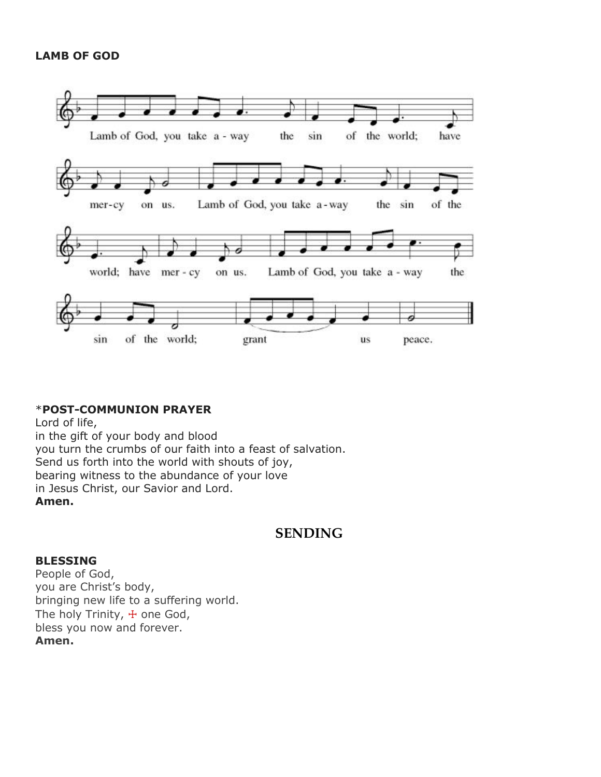## **LAMB OF GOD**



## \***POST-COMMUNION PRAYER**

Lord of life, in the gift of your body and blood you turn the crumbs of our faith into a feast of salvation. Send us forth into the world with shouts of joy, bearing witness to the abundance of your love in Jesus Christ, our Savior and Lord. **Amen.**

# **SENDING**

#### **BLESSING**

People of God, you are Christ's body, bringing new life to a suffering world. The holy Trinity, + one God, bless you now and forever. **Amen.**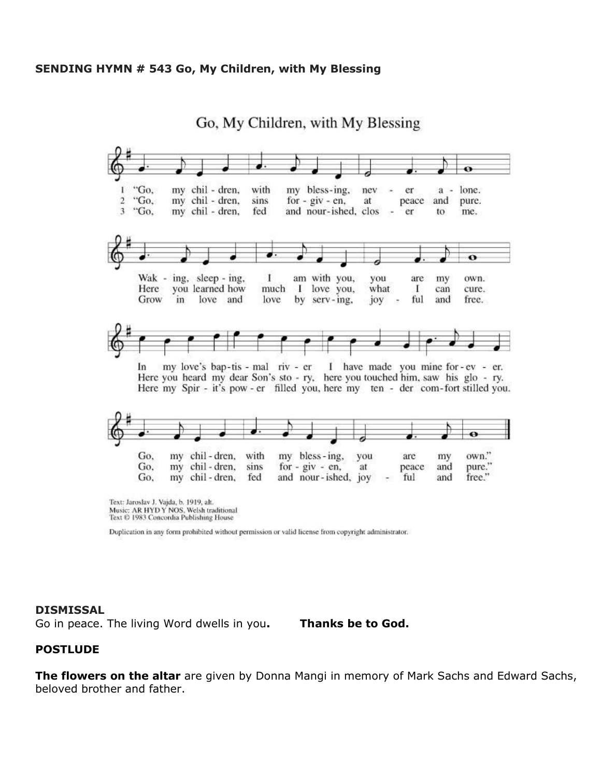#### **SENDING HYMN # 543 Go, My Children, with My Blessing**

Go, My Children, with My Blessing



Music: AR HYDY NOS, Welsh traditional Text © 1983 Concordia Publishing House

Duplication in any form prohibited without permission or valid license from copyright administrator.

#### **DISMISSAL**

Go in peace. The living Word dwells in you**. Thanks be to God.**

#### **POSTLUDE**

**The flowers on the altar** are given by Donna Mangi in memory of Mark Sachs and Edward Sachs, beloved brother and father.